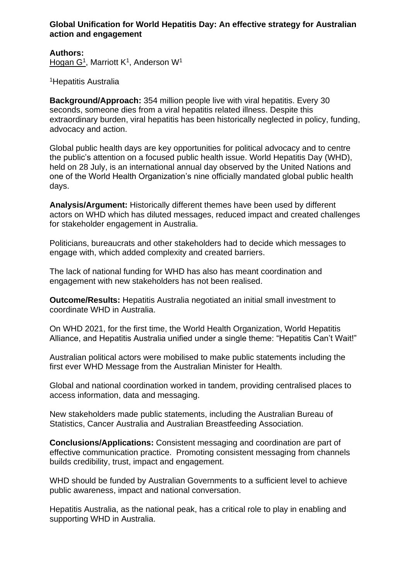## **Global Unification for World Hepatitis Day: An effective strategy for Australian action and engagement**

**Authors:** Hogan G<sup>1</sup>, Marriott K<sup>1</sup>, Anderson W<sup>1</sup>

<sup>1</sup>Hepatitis Australia

**Background/Approach:** 354 million people live with viral hepatitis. Every 30 seconds, someone dies from a viral hepatitis related illness. Despite this extraordinary burden, viral hepatitis has been historically neglected in policy, funding, advocacy and action.

Global public health days are key opportunities for political advocacy and to centre the public's attention on a focused public health issue. World Hepatitis Day (WHD), held on 28 July, is an international annual day observed by the United Nations and one of the World Health Organization's nine officially mandated global public health days.

**Analysis/Argument:** Historically different themes have been used by different actors on WHD which has diluted messages, reduced impact and created challenges for stakeholder engagement in Australia.

Politicians, bureaucrats and other stakeholders had to decide which messages to engage with, which added complexity and created barriers.

The lack of national funding for WHD has also has meant coordination and engagement with new stakeholders has not been realised.

**Outcome/Results:** Hepatitis Australia negotiated an initial small investment to coordinate WHD in Australia.

On WHD 2021, for the first time, the World Health Organization, World Hepatitis Alliance, and Hepatitis Australia unified under a single theme: "Hepatitis Can't Wait!"

Australian political actors were mobilised to make public statements including the first ever WHD Message from the Australian Minister for Health.

Global and national coordination worked in tandem, providing centralised places to access information, data and messaging.

New stakeholders made public statements, including the Australian Bureau of Statistics, Cancer Australia and Australian Breastfeeding Association.

**Conclusions/Applications:** Consistent messaging and coordination are part of effective communication practice. Promoting consistent messaging from channels builds credibility, trust, impact and engagement.

WHD should be funded by Australian Governments to a sufficient level to achieve public awareness, impact and national conversation.

Hepatitis Australia, as the national peak, has a critical role to play in enabling and supporting WHD in Australia.